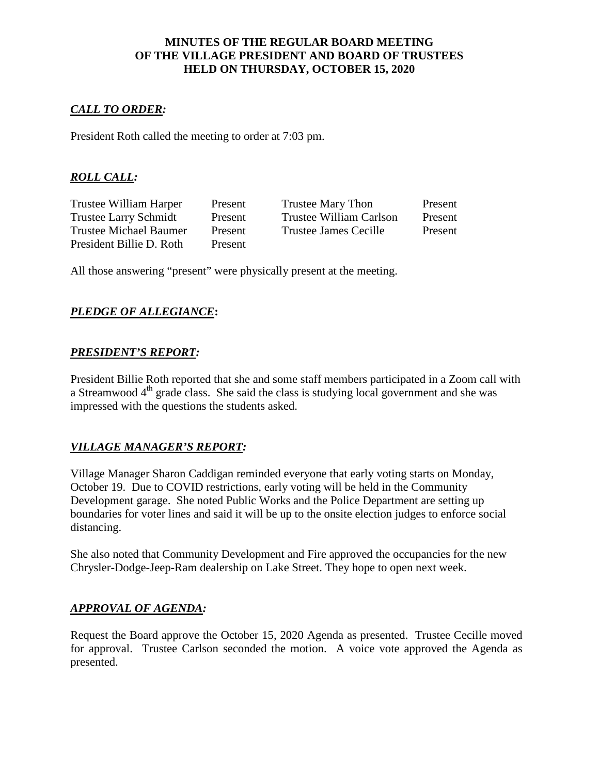## **MINUTES OF THE REGULAR BOARD MEETING OF THE VILLAGE PRESIDENT AND BOARD OF TRUSTEES HELD ON THURSDAY, OCTOBER 15, 2020**

## *CALL TO ORDER:*

President Roth called the meeting to order at 7:03 pm.

# *ROLL CALL:*

President Billie D. Roth Present

Trustee William Harper Present Trustee Mary Thon Present Trustee Larry Schmidt Present Trustee William Carlson Present Trustee Michael Baumer Present Trustee James Cecille Present

All those answering "present" were physically present at the meeting.

## *PLEDGE OF ALLEGIANCE***:**

### *PRESIDENT'S REPORT:*

President Billie Roth reported that she and some staff members participated in a Zoom call with a Streamwood  $4<sup>th</sup>$  grade class. She said the class is studying local government and she was impressed with the questions the students asked.

### *VILLAGE MANAGER'S REPORT:*

Village Manager Sharon Caddigan reminded everyone that early voting starts on Monday, October 19. Due to COVID restrictions, early voting will be held in the Community Development garage. She noted Public Works and the Police Department are setting up boundaries for voter lines and said it will be up to the onsite election judges to enforce social distancing.

She also noted that Community Development and Fire approved the occupancies for the new Chrysler-Dodge-Jeep-Ram dealership on Lake Street. They hope to open next week.

### *APPROVAL OF AGENDA:*

Request the Board approve the October 15, 2020 Agenda as presented. Trustee Cecille moved for approval. Trustee Carlson seconded the motion. A voice vote approved the Agenda as presented.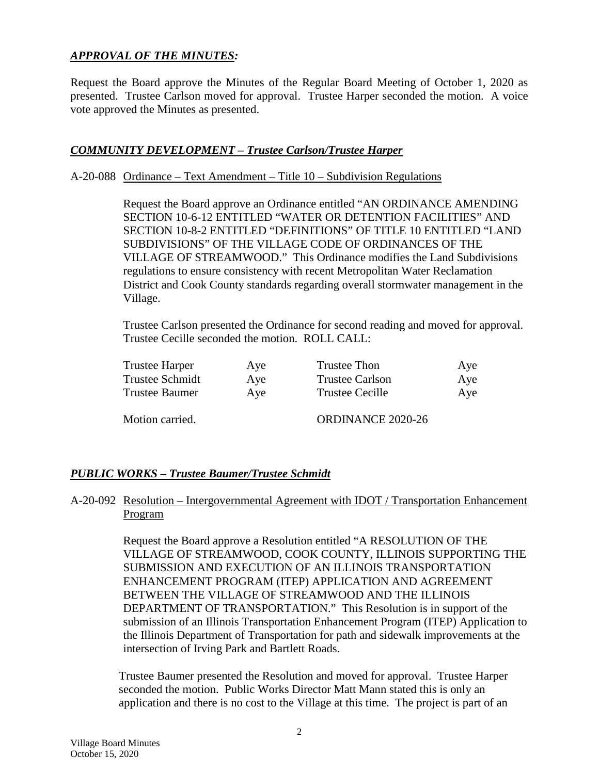# *APPROVAL OF THE MINUTES:*

Request the Board approve the Minutes of the Regular Board Meeting of October 1, 2020 as presented. Trustee Carlson moved for approval. Trustee Harper seconded the motion. A voice vote approved the Minutes as presented.

## *COMMUNITY DEVELOPMENT – Trustee Carlson/Trustee Harper*

#### A-20-088 Ordinance – Text Amendment – Title 10 – Subdivision Regulations

Request the Board approve an Ordinance entitled "AN ORDINANCE AMENDING SECTION 10-6-12 ENTITLED "WATER OR DETENTION FACILITIES" AND SECTION 10-8-2 ENTITLED "DEFINITIONS" OF TITLE 10 ENTITLED "LAND SUBDIVISIONS" OF THE VILLAGE CODE OF ORDINANCES OF THE VILLAGE OF STREAMWOOD." This Ordinance modifies the Land Subdivisions regulations to ensure consistency with recent Metropolitan Water Reclamation District and Cook County standards regarding overall stormwater management in the Village.

Trustee Carlson presented the Ordinance for second reading and moved for approval. Trustee Cecille seconded the motion. ROLL CALL:

| Trustee Harper  | Aye | <b>Trustee Thon</b>      | Aye |
|-----------------|-----|--------------------------|-----|
| Trustee Schmidt | Aye | <b>Trustee Carlson</b>   | Aye |
| Trustee Baumer  | Aye | <b>Trustee Cecille</b>   | Aye |
| Motion carried. |     | <b>ORDINANCE 2020-26</b> |     |

### *PUBLIC WORKS – Trustee Baumer/Trustee Schmidt*

## A-20-092 Resolution – Intergovernmental Agreement with IDOT / Transportation Enhancement Program

Request the Board approve a Resolution entitled "A RESOLUTION OF THE VILLAGE OF STREAMWOOD, COOK COUNTY, ILLINOIS SUPPORTING THE SUBMISSION AND EXECUTION OF AN ILLINOIS TRANSPORTATION ENHANCEMENT PROGRAM (ITEP) APPLICATION AND AGREEMENT BETWEEN THE VILLAGE OF STREAMWOOD AND THE ILLINOIS DEPARTMENT OF TRANSPORTATION." This Resolution is in support of the submission of an Illinois Transportation Enhancement Program (ITEP) Application to the Illinois Department of Transportation for path and sidewalk improvements at the intersection of Irving Park and Bartlett Roads.

Trustee Baumer presented the Resolution and moved for approval. Trustee Harper seconded the motion. Public Works Director Matt Mann stated this is only an application and there is no cost to the Village at this time. The project is part of an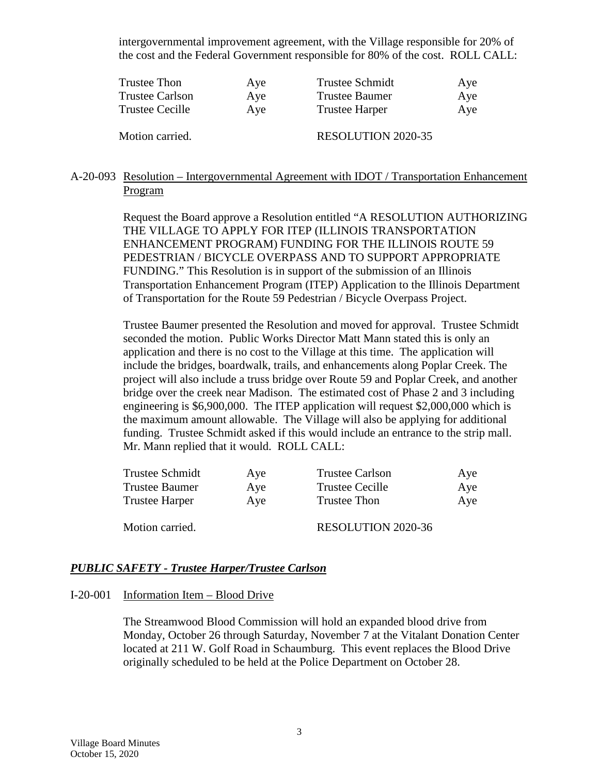intergovernmental improvement agreement, with the Village responsible for 20% of the cost and the Federal Government responsible for 80% of the cost. ROLL CALL:

| Trustee Thon           | Aye | <b>Trustee Schmidt</b>    | Aye |
|------------------------|-----|---------------------------|-----|
| <b>Trustee Carlson</b> | Aye | <b>Trustee Baumer</b>     | Aye |
| Trustee Cecille        | Aye | <b>Trustee Harper</b>     | Aye |
| Motion carried.        |     | <b>RESOLUTION 2020-35</b> |     |

## A-20-093 Resolution – Intergovernmental Agreement with IDOT / Transportation Enhancement Program

Request the Board approve a Resolution entitled "A RESOLUTION AUTHORIZING THE VILLAGE TO APPLY FOR ITEP (ILLINOIS TRANSPORTATION ENHANCEMENT PROGRAM) FUNDING FOR THE ILLINOIS ROUTE 59 PEDESTRIAN / BICYCLE OVERPASS AND TO SUPPORT APPROPRIATE FUNDING." This Resolution is in support of the submission of an Illinois Transportation Enhancement Program (ITEP) Application to the Illinois Department of Transportation for the Route 59 Pedestrian / Bicycle Overpass Project.

Trustee Baumer presented the Resolution and moved for approval. Trustee Schmidt seconded the motion. Public Works Director Matt Mann stated this is only an application and there is no cost to the Village at this time. The application will include the bridges, boardwalk, trails, and enhancements along Poplar Creek. The project will also include a truss bridge over Route 59 and Poplar Creek, and another bridge over the creek near Madison. The estimated cost of Phase 2 and 3 including engineering is \$6,900,000. The ITEP application will request \$2,000,000 which is the maximum amount allowable. The Village will also be applying for additional funding. Trustee Schmidt asked if this would include an entrance to the strip mall. Mr. Mann replied that it would. ROLL CALL:

| Trustee Schmidt       | Aye | <b>Trustee Carlson</b>    | Aye |
|-----------------------|-----|---------------------------|-----|
| <b>Trustee Baumer</b> | Aye | <b>Trustee Cecille</b>    | Aye |
| <b>Trustee Harper</b> | Aye | <b>Trustee Thon</b>       | Aye |
| Motion carried.       |     | <b>RESOLUTION 2020-36</b> |     |

## *PUBLIC SAFETY - Trustee Harper/Trustee Carlson*

#### I-20-001 Information Item – Blood Drive

The Streamwood Blood Commission will hold an expanded blood drive from Monday, October 26 through Saturday, November 7 at the Vitalant Donation Center located at 211 W. Golf Road in Schaumburg. This event replaces the Blood Drive originally scheduled to be held at the Police Department on October 28.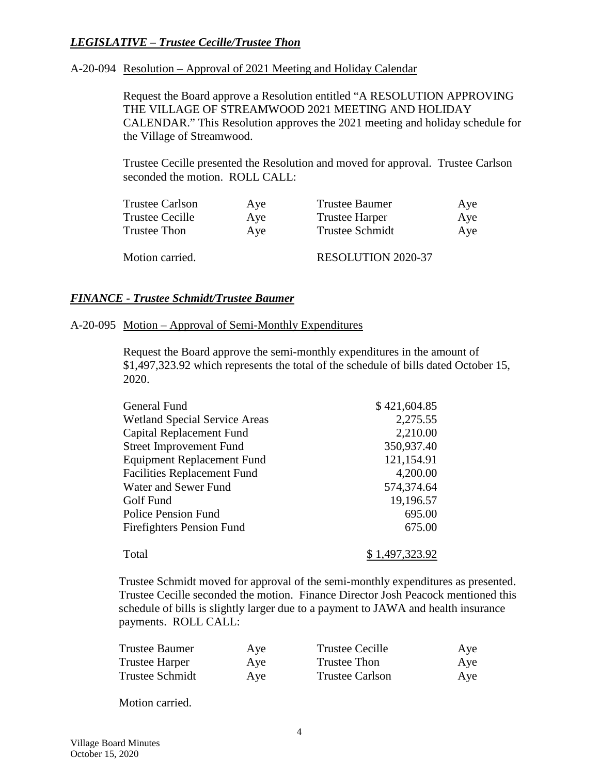# *LEGISLATIVE – Trustee Cecille/Trustee Thon*

## A-20-094 Resolution – Approval of 2021 Meeting and Holiday Calendar

Request the Board approve a Resolution entitled "A RESOLUTION APPROVING THE VILLAGE OF STREAMWOOD 2021 MEETING AND HOLIDAY CALENDAR." This Resolution approves the 2021 meeting and holiday schedule for the Village of Streamwood.

Trustee Cecille presented the Resolution and moved for approval. Trustee Carlson seconded the motion. ROLL CALL:

| <b>Trustee Carlson</b> | Aye | <b>Trustee Baumer</b>     | Aye |
|------------------------|-----|---------------------------|-----|
| <b>Trustee Cecille</b> | Aye | <b>Trustee Harper</b>     | Aye |
| Trustee Thon           | Aye | <b>Trustee Schmidt</b>    | Aye |
| Motion carried.        |     | <b>RESOLUTION 2020-37</b> |     |

## *FINANCE - Trustee Schmidt/Trustee Baumer*

#### A-20-095 Motion – Approval of Semi-Monthly Expenditures

Request the Board approve the semi-monthly expenditures in the amount of \$1,497,323.92 which represents the total of the schedule of bills dated October 15, 2020.

| General Fund                         | \$421,604.85   |
|--------------------------------------|----------------|
| <b>Wetland Special Service Areas</b> | 2,275.55       |
| Capital Replacement Fund             | 2,210.00       |
| <b>Street Improvement Fund</b>       | 350,937.40     |
| <b>Equipment Replacement Fund</b>    | 121,154.91     |
| <b>Facilities Replacement Fund</b>   | 4,200.00       |
| Water and Sewer Fund                 | 574,374.64     |
| Golf Fund                            | 19,196.57      |
| <b>Police Pension Fund</b>           | 695.00         |
| <b>Firefighters Pension Fund</b>     | 675.00         |
| Total                                | \$1,497,323.92 |

Trustee Schmidt moved for approval of the semi-monthly expenditures as presented. Trustee Cecille seconded the motion. Finance Director Josh Peacock mentioned this schedule of bills is slightly larger due to a payment to JAWA and health insurance payments. ROLL CALL:

| Trustee Baumer  | Aye | <b>Trustee Cecille</b> | Aye |
|-----------------|-----|------------------------|-----|
| Trustee Harper  | Aye | Trustee Thon           | Aye |
| Trustee Schmidt | Aye | Trustee Carlson        | Aye |

Motion carried.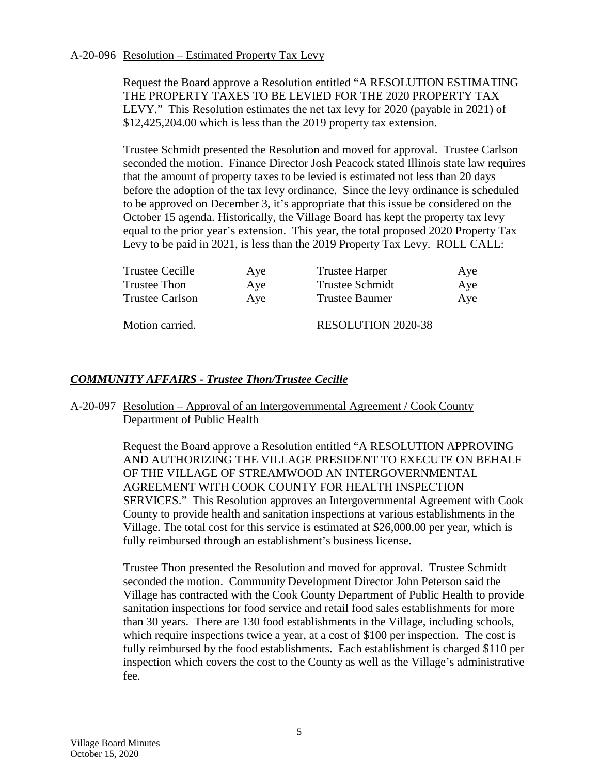### A-20-096 Resolution – Estimated Property Tax Levy

Request the Board approve a Resolution entitled "A RESOLUTION ESTIMATING THE PROPERTY TAXES TO BE LEVIED FOR THE 2020 PROPERTY TAX LEVY." This Resolution estimates the net tax levy for 2020 (payable in 2021) of \$12,425,204.00 which is less than the 2019 property tax extension.

Trustee Schmidt presented the Resolution and moved for approval. Trustee Carlson seconded the motion. Finance Director Josh Peacock stated Illinois state law requires that the amount of property taxes to be levied is estimated not less than 20 days before the adoption of the tax levy ordinance. Since the levy ordinance is scheduled to be approved on December 3, it's appropriate that this issue be considered on the October 15 agenda. Historically, the Village Board has kept the property tax levy equal to the prior year's extension. This year, the total proposed 2020 Property Tax Levy to be paid in 2021, is less than the 2019 Property Tax Levy. ROLL CALL:

| Trustee Cecille | Aye | <b>Trustee Harper</b>     | Aye |
|-----------------|-----|---------------------------|-----|
| Trustee Thon    | Aye | <b>Trustee Schmidt</b>    | Aye |
| Trustee Carlson | Aye | <b>Trustee Baumer</b>     | Aye |
| Motion carried. |     | <b>RESOLUTION 2020-38</b> |     |

### *COMMUNITY AFFAIRS - Trustee Thon/Trustee Cecille*

### A-20-097 Resolution – Approval of an Intergovernmental Agreement / Cook County Department of Public Health

Request the Board approve a Resolution entitled "A RESOLUTION APPROVING AND AUTHORIZING THE VILLAGE PRESIDENT TO EXECUTE ON BEHALF OF THE VILLAGE OF STREAMWOOD AN INTERGOVERNMENTAL AGREEMENT WITH COOK COUNTY FOR HEALTH INSPECTION SERVICES." This Resolution approves an Intergovernmental Agreement with Cook County to provide health and sanitation inspections at various establishments in the Village. The total cost for this service is estimated at \$26,000.00 per year, which is fully reimbursed through an establishment's business license.

Trustee Thon presented the Resolution and moved for approval. Trustee Schmidt seconded the motion. Community Development Director John Peterson said the Village has contracted with the Cook County Department of Public Health to provide sanitation inspections for food service and retail food sales establishments for more than 30 years. There are 130 food establishments in the Village, including schools, which require inspections twice a year, at a cost of \$100 per inspection. The cost is fully reimbursed by the food establishments. Each establishment is charged \$110 per inspection which covers the cost to the County as well as the Village's administrative fee.